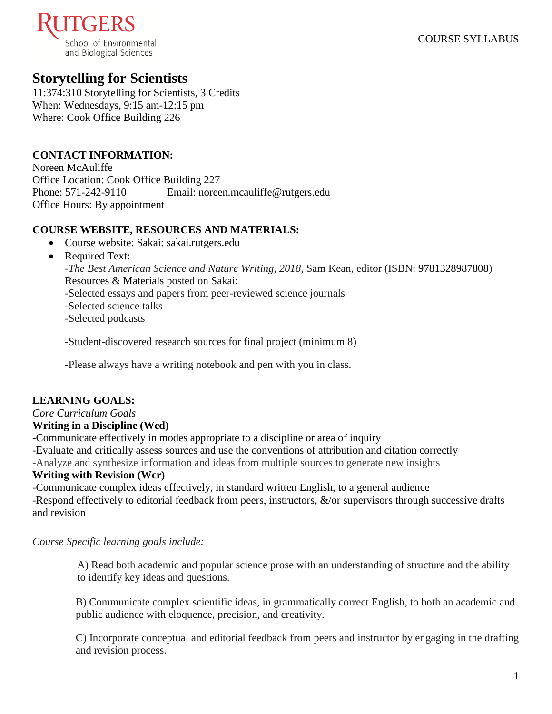

# **Storytelling for Scientists**

11:374:310 Storytelling for Scientists, 3 Credits When: Wednesdays, 9:15 am-12:15 pm Where: Cook Office Building 226

## **CONTACT INFORMATION:**

Noreen McAuliffe Office Location: Cook Office Building 227 Phone: 571-242-9110 Email: noreen.mcauliffe@rutgers.edu Office Hours: By appointment

### **COURSE WEBSITE, RESOURCES AND MATERIALS:**

- Course website: Sakai: sakai.rutgers.edu
- Required Text:

*-The Best American Science and Nature Writing, 2018*, Sam Kean, editor (ISBN: 9781328987808) Resources & Materials posted on Sakai: *-*Selected essays and papers from peer-reviewed science journals -Selected science talks -Selected podcasts

-Student-discovered research sources for final project (minimum 8)

-Please always have a writing notebook and pen with you in class.

### **LEARNING GOALS:**

#### *Core Curriculum Goals* **Writing in a Discipline (Wcd)**

**-**Communicate effectively in modes appropriate to a discipline or area of inquiry

-Evaluate and critically assess sources and use the conventions of attribution and citation correctly

-Analyze and synthesize information and ideas from multiple sources to generate new insights

### **Writing with Revision (Wcr)**

-Communicate complex ideas effectively, in standard written English, to a general audience -Respond effectively to editorial feedback from peers, instructors, &/or supervisors through successive drafts and revision

*Course Specific learning goals include:* 

A) Read both academic and popular science prose with an understanding of structure and the ability to identify key ideas and questions.

B) Communicate complex scientific ideas, in grammatically correct English, to both an academic and public audience with eloquence, precision, and creativity.

C) Incorporate conceptual and editorial feedback from peers and instructor by engaging in the drafting and revision process.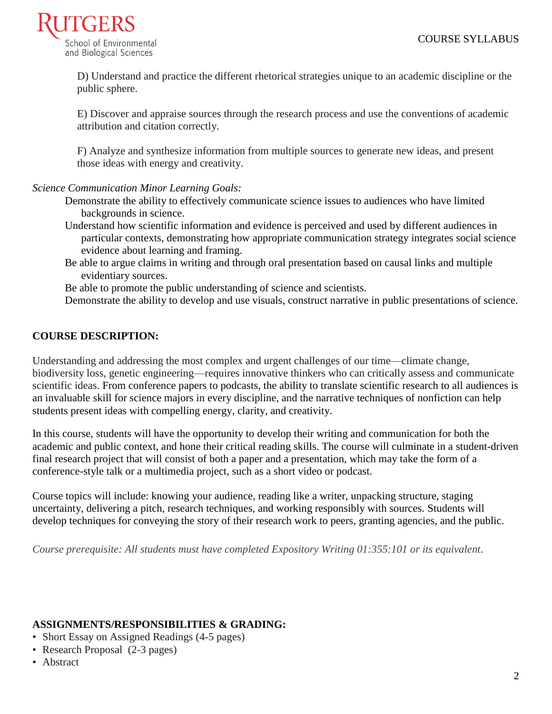

D) Understand and practice the different rhetorical strategies unique to an academic discipline or the public sphere.

E) Discover and appraise sources through the research process and use the conventions of academic attribution and citation correctly.

F) Analyze and synthesize information from multiple sources to generate new ideas, and present those ideas with energy and creativity.

### *Science Communication Minor Learning Goals:*

- Demonstrate the ability to effectively communicate science issues to audiences who have limited backgrounds in science.
- Understand how scientific information and evidence is perceived and used by different audiences in particular contexts, demonstrating how appropriate communication strategy integrates social science evidence about learning and framing.
- Be able to argue claims in writing and through oral presentation based on causal links and multiple evidentiary sources.

Be able to promote the public understanding of science and scientists.

Demonstrate the ability to develop and use visuals, construct narrative in public presentations of science.

### **COURSE DESCRIPTION:**

Understanding and addressing the most complex and urgent challenges of our time—climate change, biodiversity loss, genetic engineering—requires innovative thinkers who can critically assess and communicate scientific ideas. From conference papers to podcasts, the ability to translate scientific research to all audiences is an invaluable skill for science majors in every discipline, and the narrative techniques of nonfiction can help students present ideas with compelling energy, clarity, and creativity.

In this course, students will have the opportunity to develop their writing and communication for both the academic and public context, and hone their critical reading skills. The course will culminate in a student-driven final research project that will consist of both a paper and a presentation, which may take the form of a conference-style talk or a multimedia project, such as a short video or podcast.

Course topics will include: knowing your audience, reading like a writer, unpacking structure, staging uncertainty, delivering a pitch, research techniques, and working responsibly with sources. Students will develop techniques for conveying the story of their research work to peers, granting agencies, and the public.

*Course prerequisite: All students must have completed Expository Writing 01:355:101 or its equivalent.*

### **ASSIGNMENTS/RESPONSIBILITIES & GRADING:**

- Short Essay on Assigned Readings (4-5 pages)
- Research Proposal (2-3 pages)
- Abstract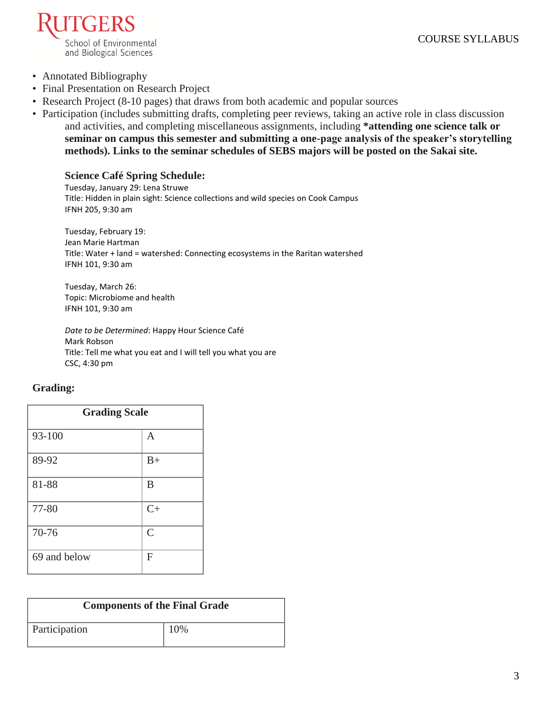

- Annotated Bibliography
- Final Presentation on Research Project
- Research Project (8-10 pages) that draws from both academic and popular sources
- Participation (includes submitting drafts, completing peer reviews, taking an active role in class discussion and activities, and completing miscellaneous assignments, including **\*attending one science talk or seminar on campus this semester and submitting a one-page analysis of the speaker's storytelling methods). Links to the seminar schedules of SEBS majors will be posted on the Sakai site.**

#### **Science Café Spring Schedule:**

Tuesday, January 29: Lena Struwe Title: Hidden in plain sight: Science collections and wild species on Cook Campus IFNH 205, 9:30 am

Tuesday, February 19: Jean Marie Hartman Title: Water + land = watershed: Connecting ecosystems in the Raritan watershed IFNH 101, 9:30 am

Tuesday, March 26: Topic: Microbiome and health IFNH 101, 9:30 am

*Date to be Determined*: Happy Hour Science Café Mark Robson Title: Tell me what you eat and I will tell you what you are CSC, 4:30 pm

#### **Grading:**

| <b>Grading Scale</b> |               |  |
|----------------------|---------------|--|
| 93-100               | A             |  |
| 89-92                | $B+$          |  |
| 81-88                | B             |  |
| 77-80                | $C+$          |  |
| 70-76                | $\mathcal{C}$ |  |
| 69 and below         | $\mathbf{F}$  |  |

| <b>Components of the Final Grade</b> |     |  |
|--------------------------------------|-----|--|
| Participation                        | 10% |  |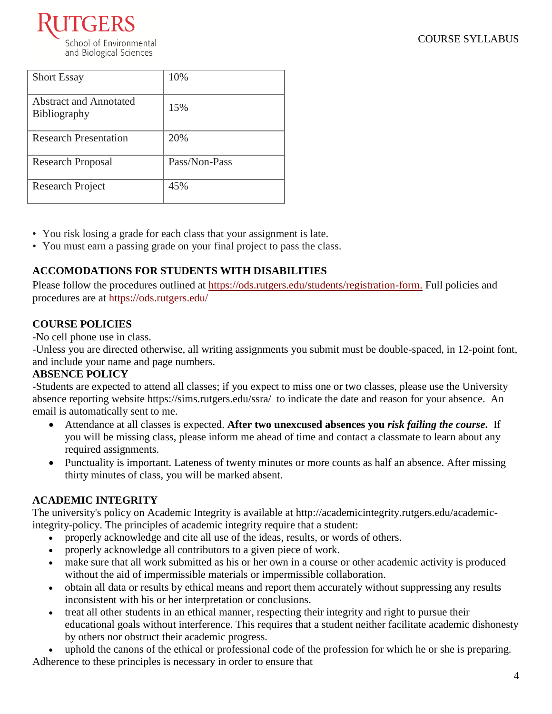

| <b>Short Essay</b>                                   | 10%           |
|------------------------------------------------------|---------------|
| <b>Abstract and Annotated</b><br><b>Bibliography</b> | 15%           |
| <b>Research Presentation</b>                         | 20%           |
| <b>Research Proposal</b>                             | Pass/Non-Pass |
| <b>Research Project</b>                              | 45%           |

- You risk losing a grade for each class that your assignment is late.
- You must earn a passing grade on your final project to pass the class.

# **ACCOMODATIONS FOR STUDENTS WITH DISABILITIES**

Please follow the procedures outlined at [https://ods.rutgers.edu/students/registration-form.](https://ods.rutgers.edu/students/registration-form) Full policies and procedures are at<https://ods.rutgers.edu/>

# **COURSE POLICIES**

-No cell phone use in class.

-Unless you are directed otherwise, all writing assignments you submit must be double-spaced, in 12-point font, and include your name and page numbers.

# **ABSENCE POLICY**

-Students are expected to attend all classes; if you expect to miss one or two classes, please use the University absence reporting website<https://sims.rutgers.edu/ssra/>to indicate the date and reason for your absence. An email is automatically sent to me.

- Attendance at all classes is expected. **After two unexcused absences you** *risk failing the course***.** If you will be missing class, please inform me ahead of time and contact a classmate to learn about any required assignments.
- Punctuality is important. Lateness of twenty minutes or more counts as half an absence. After missing thirty minutes of class, you will be marked absent.

# **ACADEMIC INTEGRITY**

The university's policy on Academic Integrity is available at [http://academicintegrity.rutgers.edu/academic](http://academicintegrity.rutgers.edu/academic-integrity-policy)[integrity-policy.](http://academicintegrity.rutgers.edu/academic-integrity-policy) The principles of academic integrity require that a student:

- properly acknowledge and cite all use of the ideas, results, or words of others.
- properly acknowledge all contributors to a given piece of work.
- make sure that all work submitted as his or her own in a course or other academic activity is produced without the aid of impermissible materials or impermissible collaboration.
- obtain all data or results by ethical means and report them accurately without suppressing any results inconsistent with his or her interpretation or conclusions.
- treat all other students in an ethical manner, respecting their integrity and right to pursue their educational goals without interference. This requires that a student neither facilitate academic dishonesty by others nor obstruct their academic progress.

uphold the canons of the ethical or professional code of the profession for which he or she is preparing. Adherence to these principles is necessary in order to ensure that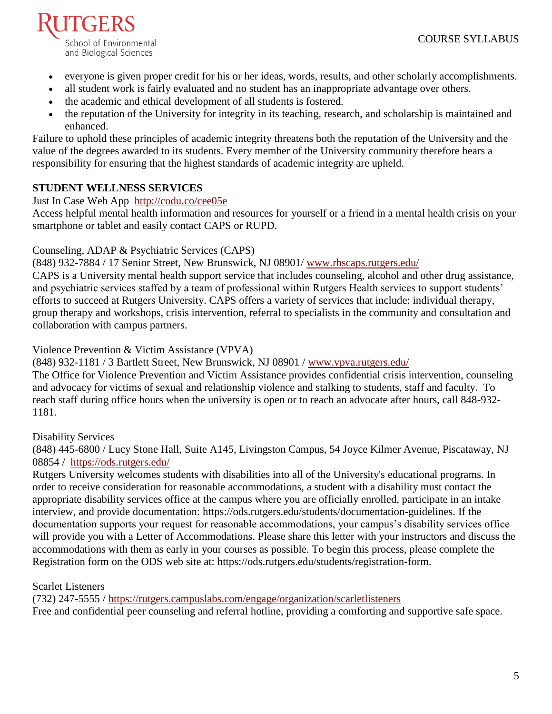

- everyone is given proper credit for his or her ideas, words, results, and other scholarly accomplishments.
- all student work is fairly evaluated and no student has an inappropriate advantage over others.
- the academic and ethical development of all students is fostered.
- the reputation of the University for integrity in its teaching, research, and scholarship is maintained and enhanced.

Failure to uphold these principles of academic integrity threatens both the reputation of the University and the value of the degrees awarded to its students. Every member of the University community therefore bears a responsibility for ensuring that the highest standards of academic integrity are upheld.

# **STUDENT WELLNESS SERVICES**

[Just In Case Web App](http://m.appcreatorpro.com/m/rutgers/fda9f59ca5/fda9f59ca5.html) <http://codu.co/cee05e>

Access helpful mental health information and resources for yourself or a friend in a mental health crisis on your smartphone or tablet and easily contact CAPS or RUPD.

# Counseling, ADAP & Psychiatric Services (CAPS)

(848) 932-7884 / 17 Senior Street, New Brunswick, NJ 08901/ [www.rhscaps.rutgers.edu/](http://www.rhscaps.rutgers.edu/)

CAPS is a University mental health support service that includes counseling, alcohol and other drug assistance, and psychiatric services staffed by a team of professional within Rutgers Health services to support students' efforts to succeed at Rutgers University. CAPS offers a variety of services that include: individual therapy, group therapy and workshops, crisis intervention, referral to specialists in the community and consultation and collaboration with campus partners.

Violence Prevention & Victim Assistance (VPVA)

(848) 932-1181 / 3 Bartlett Street, New Brunswick, NJ 08901 / [www.vpva.rutgers.edu/](http://www.vpva.rutgers.edu/)

The Office for Violence Prevention and Victim Assistance provides confidential crisis intervention, counseling and advocacy for victims of sexual and relationship violence and stalking to students, staff and faculty. To reach staff during office hours when the university is open or to reach an advocate after hours, call 848-932- 1181.

# Disability Services

(848) 445-6800 / Lucy Stone Hall, Suite A145, Livingston Campus, 54 Joyce Kilmer Avenue, Piscataway, NJ 08854 / <https://ods.rutgers.edu/>

Rutgers University welcomes students with disabilities into all of the University's educational programs. In order to receive consideration for reasonable accommodations, a student with a disability must contact the appropriate disability services office at the campus where you are officially enrolled, participate in an intake interview, and provide documentation: [https://ods.rutgers.edu/students/documentation-guidelines.](https://ods.rutgers.edu/students/documentation-guidelines) If the documentation supports your request for reasonable accommodations, your campus's disability services office will provide you with a Letter of Accommodations. Please share this letter with your instructors and discuss the accommodations with them as early in your courses as possible. To begin this process, please complete the Registration form on the ODS web site at: [https://ods.rutgers.edu/students/registration-form.](https://ods.rutgers.edu/students/registration-form)

Scarlet Listeners

(732) 247-5555 /<https://rutgers.campuslabs.com/engage/organization/scarletlisteners>

Free and confidential peer counseling and referral hotline, providing a comforting and supportive safe space.